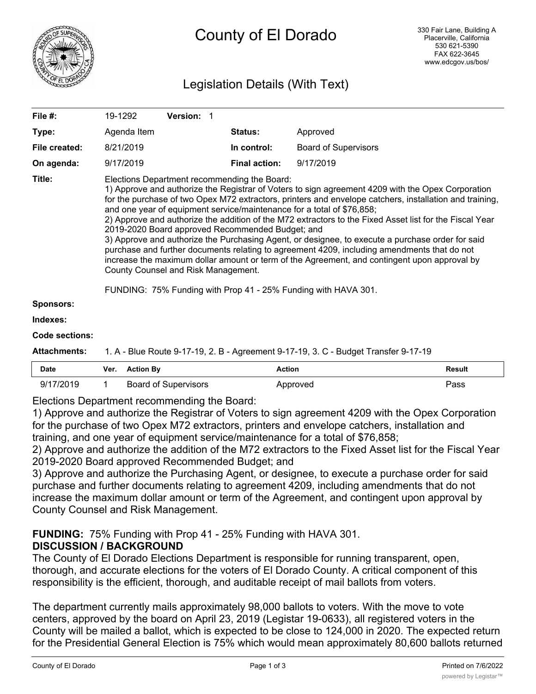

# Legislation Details (With Text)

| File $#$ :          | 19-1292                                                                                                                                                                                                                                                                                                                                                                                                                                                                                                                                                                                                                                                                                                                                                                                                                                                                                                           | Version: 1 |                      |                             |               |  |  |
|---------------------|-------------------------------------------------------------------------------------------------------------------------------------------------------------------------------------------------------------------------------------------------------------------------------------------------------------------------------------------------------------------------------------------------------------------------------------------------------------------------------------------------------------------------------------------------------------------------------------------------------------------------------------------------------------------------------------------------------------------------------------------------------------------------------------------------------------------------------------------------------------------------------------------------------------------|------------|----------------------|-----------------------------|---------------|--|--|
| Type:               | Agenda Item                                                                                                                                                                                                                                                                                                                                                                                                                                                                                                                                                                                                                                                                                                                                                                                                                                                                                                       |            | <b>Status:</b>       | Approved                    |               |  |  |
| File created:       | 8/21/2019                                                                                                                                                                                                                                                                                                                                                                                                                                                                                                                                                                                                                                                                                                                                                                                                                                                                                                         |            | In control:          | <b>Board of Supervisors</b> |               |  |  |
| On agenda:          | 9/17/2019                                                                                                                                                                                                                                                                                                                                                                                                                                                                                                                                                                                                                                                                                                                                                                                                                                                                                                         |            | <b>Final action:</b> | 9/17/2019                   |               |  |  |
| Title:              | Elections Department recommending the Board:<br>1) Approve and authorize the Registrar of Voters to sign agreement 4209 with the Opex Corporation<br>for the purchase of two Opex M72 extractors, printers and envelope catchers, installation and training,<br>and one year of equipment service/maintenance for a total of \$76,858;<br>2) Approve and authorize the addition of the M72 extractors to the Fixed Asset list for the Fiscal Year<br>2019-2020 Board approved Recommended Budget; and<br>3) Approve and authorize the Purchasing Agent, or designee, to execute a purchase order for said<br>purchase and further documents relating to agreement 4209, including amendments that do not<br>increase the maximum dollar amount or term of the Agreement, and contingent upon approval by<br>County Counsel and Risk Management.<br>FUNDING: 75% Funding with Prop 41 - 25% Funding with HAVA 301. |            |                      |                             |               |  |  |
| <b>Sponsors:</b>    |                                                                                                                                                                                                                                                                                                                                                                                                                                                                                                                                                                                                                                                                                                                                                                                                                                                                                                                   |            |                      |                             |               |  |  |
| Indexes:            |                                                                                                                                                                                                                                                                                                                                                                                                                                                                                                                                                                                                                                                                                                                                                                                                                                                                                                                   |            |                      |                             |               |  |  |
| Code sections:      |                                                                                                                                                                                                                                                                                                                                                                                                                                                                                                                                                                                                                                                                                                                                                                                                                                                                                                                   |            |                      |                             |               |  |  |
| <b>Attachments:</b> | 1. A - Blue Route 9-17-19, 2. B - Agreement 9-17-19, 3. C - Budget Transfer 9-17-19                                                                                                                                                                                                                                                                                                                                                                                                                                                                                                                                                                                                                                                                                                                                                                                                                               |            |                      |                             |               |  |  |
| <b>Date</b>         | <b>Action By</b><br>Ver.                                                                                                                                                                                                                                                                                                                                                                                                                                                                                                                                                                                                                                                                                                                                                                                                                                                                                          |            | <b>Action</b>        |                             | <b>Result</b> |  |  |

| Date      | Ver. | <b>Action By</b>            | Action   | Result |
|-----------|------|-----------------------------|----------|--------|
| 9/17/2019 |      | <b>Board of Supervisors</b> | Approved | ass'   |

Elections Department recommending the Board:

1) Approve and authorize the Registrar of Voters to sign agreement 4209 with the Opex Corporation for the purchase of two Opex M72 extractors, printers and envelope catchers, installation and training, and one year of equipment service/maintenance for a total of \$76,858;

2) Approve and authorize the addition of the M72 extractors to the Fixed Asset list for the Fiscal Year 2019-2020 Board approved Recommended Budget; and

3) Approve and authorize the Purchasing Agent, or designee, to execute a purchase order for said purchase and further documents relating to agreement 4209, including amendments that do not increase the maximum dollar amount or term of the Agreement, and contingent upon approval by County Counsel and Risk Management.

**FUNDING:** 75% Funding with Prop 41 - 25% Funding with HAVA 301.

### **DISCUSSION / BACKGROUND**

The County of El Dorado Elections Department is responsible for running transparent, open, thorough, and accurate elections for the voters of El Dorado County. A critical component of this responsibility is the efficient, thorough, and auditable receipt of mail ballots from voters.

The department currently mails approximately 98,000 ballots to voters. With the move to vote centers, approved by the board on April 23, 2019 (Legistar 19-0633), all registered voters in the County will be mailed a ballot, which is expected to be close to 124,000 in 2020. The expected return for the Presidential General Election is 75% which would mean approximately 80,600 ballots returned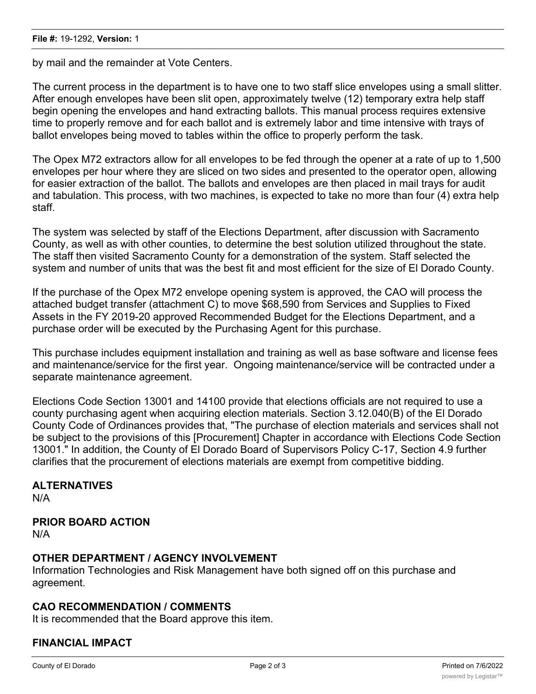by mail and the remainder at Vote Centers.

The current process in the department is to have one to two staff slice envelopes using a small slitter. After enough envelopes have been slit open, approximately twelve (12) temporary extra help staff begin opening the envelopes and hand extracting ballots. This manual process requires extensive time to properly remove and for each ballot and is extremely labor and time intensive with trays of ballot envelopes being moved to tables within the office to properly perform the task.

The Opex M72 extractors allow for all envelopes to be fed through the opener at a rate of up to 1,500 envelopes per hour where they are sliced on two sides and presented to the operator open, allowing for easier extraction of the ballot. The ballots and envelopes are then placed in mail trays for audit and tabulation. This process, with two machines, is expected to take no more than four (4) extra help staff.

The system was selected by staff of the Elections Department, after discussion with Sacramento County, as well as with other counties, to determine the best solution utilized throughout the state. The staff then visited Sacramento County for a demonstration of the system. Staff selected the system and number of units that was the best fit and most efficient for the size of El Dorado County.

If the purchase of the Opex M72 envelope opening system is approved, the CAO will process the attached budget transfer (attachment C) to move \$68,590 from Services and Supplies to Fixed Assets in the FY 2019-20 approved Recommended Budget for the Elections Department, and a purchase order will be executed by the Purchasing Agent for this purchase.

This purchase includes equipment installation and training as well as base software and license fees and maintenance/service for the first year. Ongoing maintenance/service will be contracted under a separate maintenance agreement.

Elections Code Section 13001 and 14100 provide that elections officials are not required to use a county purchasing agent when acquiring election materials. Section 3.12.040(B) of the El Dorado County Code of Ordinances provides that, "The purchase of election materials and services shall not be subject to the provisions of this [Procurement] Chapter in accordance with Elections Code Section 13001." In addition, the County of El Dorado Board of Supervisors Policy C-17, Section 4.9 further clarifies that the procurement of elections materials are exempt from competitive bidding.

## **ALTERNATIVES**

N/A

#### **PRIOR BOARD ACTION**

N/A

#### **OTHER DEPARTMENT / AGENCY INVOLVEMENT**

Information Technologies and Risk Management have both signed off on this purchase and agreement.

#### **CAO RECOMMENDATION / COMMENTS**

It is recommended that the Board approve this item.

#### **FINANCIAL IMPACT**